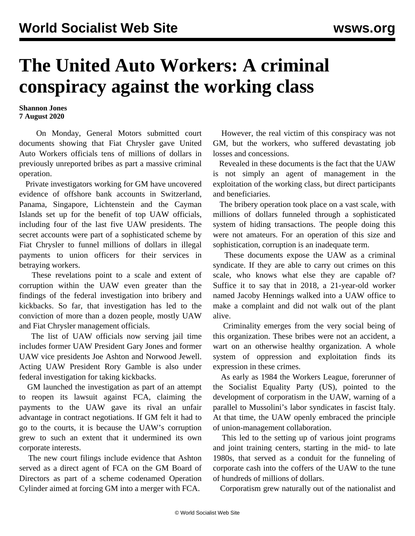## **The United Auto Workers: A criminal conspiracy against the working class**

**Shannon Jones 7 August 2020**

 On Monday, General Motors submitted court documents showing that Fiat Chrysler gave United Auto Workers officials tens of millions of dollars in previously unreported bribes as part a massive criminal operation.

 Private investigators working for GM have uncovered evidence of offshore bank accounts in Switzerland, Panama, Singapore, Lichtenstein and the Cayman Islands set up for the benefit of top UAW officials, including four of the last five UAW presidents. The secret accounts were part of a sophisticated scheme by Fiat Chrysler to funnel millions of dollars in illegal payments to union officers for their services in betraying workers.

 These revelations point to a scale and extent of [corruption](/en/articles/2020/08/05/auto-a05.html) within the UAW even greater than the findings of the federal investigation into bribery and kickbacks. So far, that investigation has led to the conviction of more than a dozen people, mostly UAW and Fiat Chrysler management officials.

 The list of UAW officials now serving jail time includes former UAW President [Gary Jones](/en/articles/2020/03/06/jone-m06.html) and former UAW vice presidents Joe Ashton and Norwood Jewell. Acting UAW President Rory Gamble is also under federal investigation for taking kickbacks.

 GM launched the investigation as part of an attempt to reopen its lawsuit against FCA, claiming the payments to the UAW gave its rival an unfair advantage in contract negotiations. If GM felt it had to go to the courts, it is because the UAW's corruption grew to such an extent that it undermined its own corporate interests.

 The new court filings include evidence that Ashton served as a direct agent of FCA on the GM Board of Directors as part of a scheme codenamed Operation Cylinder aimed at forcing GM into a merger with FCA.

 However, the real victim of this conspiracy was not GM, but the workers, who suffered devastating job losses and concessions.

 Revealed in these documents is the fact that the UAW is not simply an agent of management in the exploitation of the working class, but direct participants and beneficiaries.

 The bribery operation took place on a vast scale, with millions of dollars funneled through a sophisticated system of hiding transactions. The people doing this were not amateurs. For an operation of this size and sophistication, corruption is an inadequate term.

 These documents expose the UAW as a criminal syndicate. If they are able to carry out crimes on this scale, who knows what else they are capable of? Suffice it to say that in 2018, a 21-year-old worker named Jacoby Hennings walked into a UAW office to make a complaint and did not walk out of the plant alive.

 Criminality emerges from the very social being of this organization. These bribes were not an accident, a wart on an otherwise healthy organization. A whole system of oppression and exploitation finds its expression in these crimes.

 As early as 1984 the Workers League, forerunner of the Socialist Equality Party (US), pointed to the development of corporatism in the UAW, warning of a parallel to Mussolini's labor syndicates in fascist Italy. At that time, the UAW openly embraced the principle of union-management collaboration.

 This led to the setting up of various joint programs and joint training centers, starting in the mid- to late 1980s, that served as a conduit for the funneling of corporate cash into the coffers of the UAW to the tune of hundreds of millions of dollars.

Corporatism grew naturally out of the nationalist and